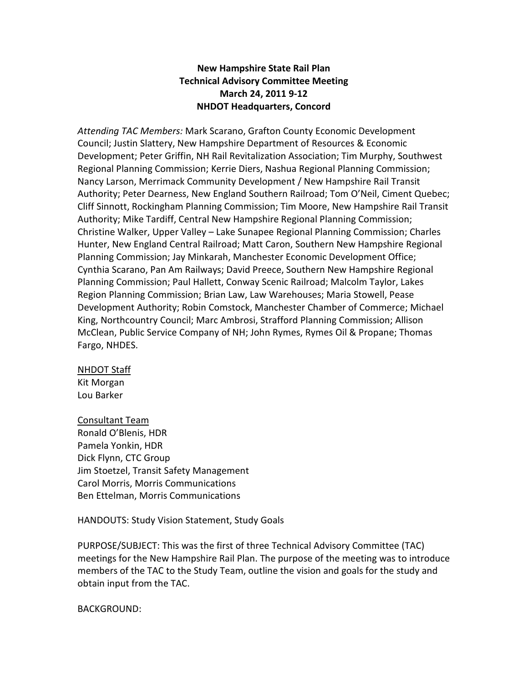## New Hampshire State Rail Plan Technical Advisory Committee Meeting March 24, 2011 9-12 NHDOT Headquarters, Concord

Attending TAC Members: Mark Scarano, Grafton County Economic Development Council; Justin Slattery, New Hampshire Department of Resources & Economic Development; Peter Griffin, NH Rail Revitalization Association; Tim Murphy, Southwest Regional Planning Commission; Kerrie Diers, Nashua Regional Planning Commission; Nancy Larson, Merrimack Community Development / New Hampshire Rail Transit Authority; Peter Dearness, New England Southern Railroad; Tom O'Neil, Ciment Quebec; Cliff Sinnott, Rockingham Planning Commission; Tim Moore, New Hampshire Rail Transit Authority; Mike Tardiff, Central New Hampshire Regional Planning Commission; Christine Walker, Upper Valley – Lake Sunapee Regional Planning Commission; Charles Hunter, New England Central Railroad; Matt Caron, Southern New Hampshire Regional Planning Commission; Jay Minkarah, Manchester Economic Development Office; Cynthia Scarano, Pan Am Railways; David Preece, Southern New Hampshire Regional Planning Commission; Paul Hallett, Conway Scenic Railroad; Malcolm Taylor, Lakes Region Planning Commission; Brian Law, Law Warehouses; Maria Stowell, Pease Development Authority; Robin Comstock, Manchester Chamber of Commerce; Michael King, Northcountry Council; Marc Ambrosi, Strafford Planning Commission; Allison McClean, Public Service Company of NH; John Rymes, Rymes Oil & Propane; Thomas Fargo, NHDES.

#### NHDOT Staff

Kit Morgan Lou Barker

Consultant Team Ronald O'Blenis, HDR Pamela Yonkin, HDR Dick Flynn, CTC Group Jim Stoetzel, Transit Safety Management Carol Morris, Morris Communications Ben Ettelman, Morris Communications

HANDOUTS: Study Vision Statement, Study Goals

PURPOSE/SUBJECT: This was the first of three Technical Advisory Committee (TAC) meetings for the New Hampshire Rail Plan. The purpose of the meeting was to introduce members of the TAC to the Study Team, outline the vision and goals for the study and obtain input from the TAC.

BACKGROUND: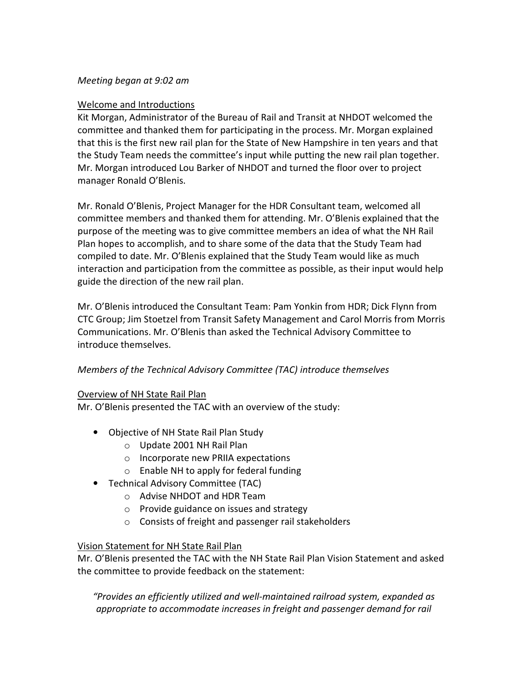### Meeting began at 9:02 am

#### Welcome and Introductions

Kit Morgan, Administrator of the Bureau of Rail and Transit at NHDOT welcomed the committee and thanked them for participating in the process. Mr. Morgan explained that this is the first new rail plan for the State of New Hampshire in ten years and that the Study Team needs the committee's input while putting the new rail plan together. Mr. Morgan introduced Lou Barker of NHDOT and turned the floor over to project manager Ronald O'Blenis.

Mr. Ronald O'Blenis, Project Manager for the HDR Consultant team, welcomed all committee members and thanked them for attending. Mr. O'Blenis explained that the purpose of the meeting was to give committee members an idea of what the NH Rail Plan hopes to accomplish, and to share some of the data that the Study Team had compiled to date. Mr. O'Blenis explained that the Study Team would like as much interaction and participation from the committee as possible, as their input would help guide the direction of the new rail plan.

Mr. O'Blenis introduced the Consultant Team: Pam Yonkin from HDR; Dick Flynn from CTC Group; Jim Stoetzel from Transit Safety Management and Carol Morris from Morris Communications. Mr. O'Blenis than asked the Technical Advisory Committee to introduce themselves.

### Members of the Technical Advisory Committee (TAC) introduce themselves

#### Overview of NH State Rail Plan

Mr. O'Blenis presented the TAC with an overview of the study:

- Objective of NH State Rail Plan Study
	- o Update 2001 NH Rail Plan
	- o Incorporate new PRIIA expectations
	- o Enable NH to apply for federal funding
- Technical Advisory Committee (TAC)
	- o Advise NHDOT and HDR Team
	- o Provide guidance on issues and strategy
	- o Consists of freight and passenger rail stakeholders

#### Vision Statement for NH State Rail Plan

Mr. O'Blenis presented the TAC with the NH State Rail Plan Vision Statement and asked the committee to provide feedback on the statement:

"Provides an efficiently utilized and well-maintained railroad system, expanded as appropriate to accommodate increases in freight and passenger demand for rail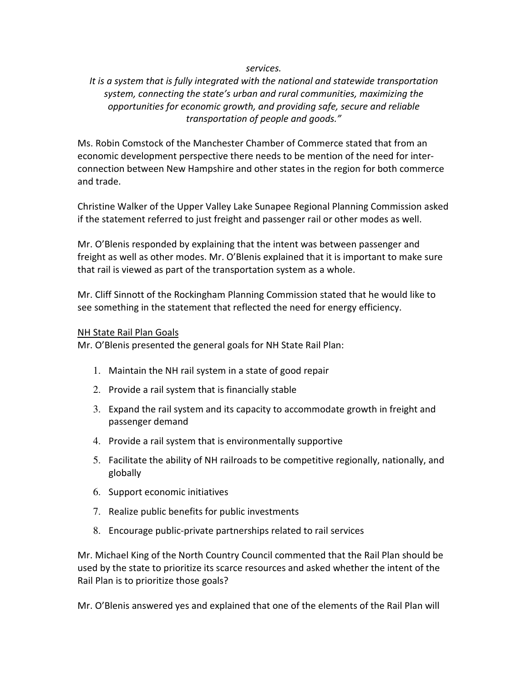#### services.

## It is a system that is fully integrated with the national and statewide transportation system, connecting the state's urban and rural communities, maximizing the opportunities for economic growth, and providing safe, secure and reliable transportation of people and goods."

Ms. Robin Comstock of the Manchester Chamber of Commerce stated that from an economic development perspective there needs to be mention of the need for interconnection between New Hampshire and other states in the region for both commerce and trade.

Christine Walker of the Upper Valley Lake Sunapee Regional Planning Commission asked if the statement referred to just freight and passenger rail or other modes as well.

Mr. O'Blenis responded by explaining that the intent was between passenger and freight as well as other modes. Mr. O'Blenis explained that it is important to make sure that rail is viewed as part of the transportation system as a whole.

Mr. Cliff Sinnott of the Rockingham Planning Commission stated that he would like to see something in the statement that reflected the need for energy efficiency.

#### NH State Rail Plan Goals

Mr. O'Blenis presented the general goals for NH State Rail Plan:

- 1. Maintain the NH rail system in a state of good repair
- 2. Provide a rail system that is financially stable
- 3. Expand the rail system and its capacity to accommodate growth in freight and passenger demand
- 4. Provide a rail system that is environmentally supportive
- 5. Facilitate the ability of NH railroads to be competitive regionally, nationally, and globally
- 6. Support economic initiatives
- 7. Realize public benefits for public investments
- 8. Encourage public-private partnerships related to rail services

Mr. Michael King of the North Country Council commented that the Rail Plan should be used by the state to prioritize its scarce resources and asked whether the intent of the Rail Plan is to prioritize those goals?

Mr. O'Blenis answered yes and explained that one of the elements of the Rail Plan will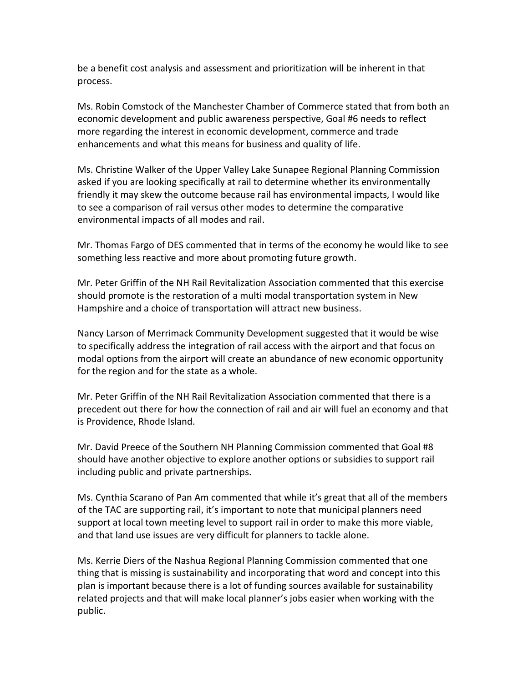be a benefit cost analysis and assessment and prioritization will be inherent in that process.

Ms. Robin Comstock of the Manchester Chamber of Commerce stated that from both an economic development and public awareness perspective, Goal #6 needs to reflect more regarding the interest in economic development, commerce and trade enhancements and what this means for business and quality of life.

Ms. Christine Walker of the Upper Valley Lake Sunapee Regional Planning Commission asked if you are looking specifically at rail to determine whether its environmentally friendly it may skew the outcome because rail has environmental impacts, I would like to see a comparison of rail versus other modes to determine the comparative environmental impacts of all modes and rail.

Mr. Thomas Fargo of DES commented that in terms of the economy he would like to see something less reactive and more about promoting future growth.

Mr. Peter Griffin of the NH Rail Revitalization Association commented that this exercise should promote is the restoration of a multi modal transportation system in New Hampshire and a choice of transportation will attract new business.

Nancy Larson of Merrimack Community Development suggested that it would be wise to specifically address the integration of rail access with the airport and that focus on modal options from the airport will create an abundance of new economic opportunity for the region and for the state as a whole.

Mr. Peter Griffin of the NH Rail Revitalization Association commented that there is a precedent out there for how the connection of rail and air will fuel an economy and that is Providence, Rhode Island.

Mr. David Preece of the Southern NH Planning Commission commented that Goal #8 should have another objective to explore another options or subsidies to support rail including public and private partnerships.

Ms. Cynthia Scarano of Pan Am commented that while it's great that all of the members of the TAC are supporting rail, it's important to note that municipal planners need support at local town meeting level to support rail in order to make this more viable, and that land use issues are very difficult for planners to tackle alone.

Ms. Kerrie Diers of the Nashua Regional Planning Commission commented that one thing that is missing is sustainability and incorporating that word and concept into this plan is important because there is a lot of funding sources available for sustainability related projects and that will make local planner's jobs easier when working with the public.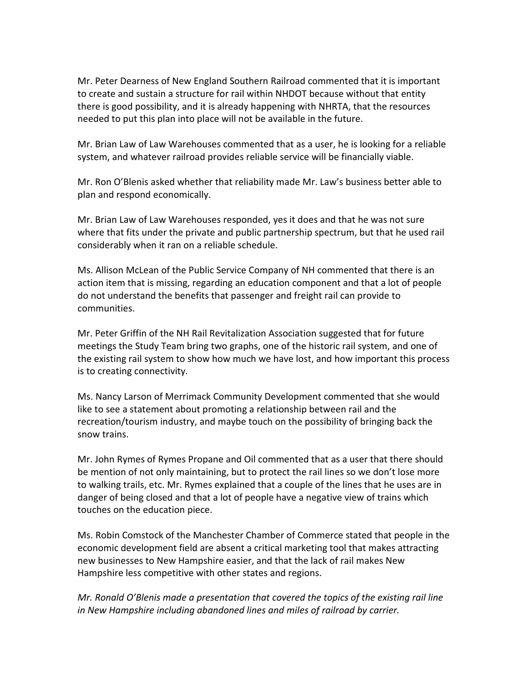Mr. Peter Dearness of New England Southern Railroad commented that it is important to create and sustain a structure for rail within NHDOT because without that entity there is good possibility, and it is already happening with NHRTA, that the resources needed to put this plan into place will not be available in the future.

Mr. Brian Law of Law Warehouses commented that as a user, he is looking for a reliable system, and whatever railroad provides reliable service will be financially viable.

Mr. Ron O'Blenis asked whether that reliability made Mr. Law's business better able to plan and respond economically.

Mr. Brian Law of Law Warehouses responded, yes it does and that he was not sure where that fits under the private and public partnership spectrum, but that he used rail considerably when it ran on a reliable schedule.

Ms. Allison McLean of the Public Service Company of NH commented that there is an action item that is missing, regarding an education component and that a lot of people do not understand the benefits that passenger and freight rail can provide to communities.

Mr. Peter Griffin of the NH Rail Revitalization Association suggested that for future meetings the Study Team bring two graphs, one of the historic rail system, and one of the existing rail system to show how much we have lost, and how important this process is to creating connectivity.

Ms. Nancy Larson of Merrimack Community Development commented that she would like to see a statement about promoting a relationship between rail and the recreation/tourism industry, and maybe touch on the possibility of bringing back the snow trains.

Mr. John Rymes of Rymes Propane and Oil commented that as a user that there should be mention of not only maintaining, but to protect the rail lines so we don't lose more to walking trails, etc. Mr. Rymes explained that a couple of the lines that he uses are in danger of being closed and that a lot of people have a negative view of trains which touches on the education piece.

Ms. Robin Comstock of the Manchester Chamber of Commerce stated that people in the economic development field are absent a critical marketing tool that makes attracting new businesses to New Hampshire easier, and that the lack of rail makes New Hampshire less competitive with other states and regions.

Mr. Ronald O'Blenis made a presentation that covered the topics of the existing rail line in New Hampshire including abandoned lines and miles of railroad by carrier.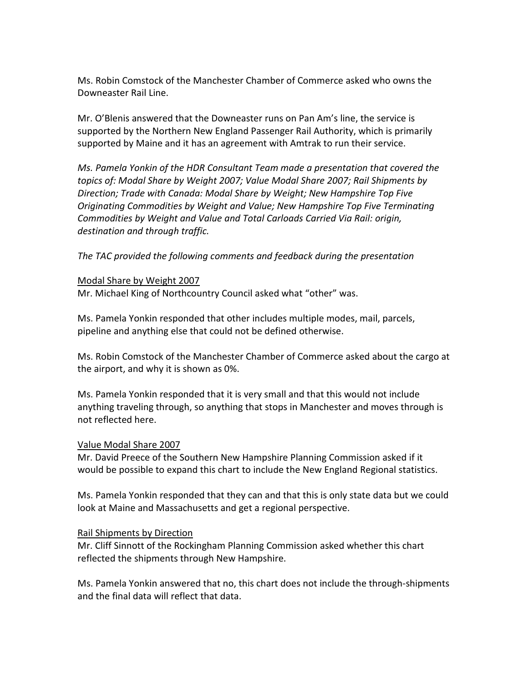Ms. Robin Comstock of the Manchester Chamber of Commerce asked who owns the Downeaster Rail Line.

Mr. O'Blenis answered that the Downeaster runs on Pan Am's line, the service is supported by the Northern New England Passenger Rail Authority, which is primarily supported by Maine and it has an agreement with Amtrak to run their service.

Ms. Pamela Yonkin of the HDR Consultant Team made a presentation that covered the topics of: Modal Share by Weight 2007; Value Modal Share 2007; Rail Shipments by Direction; Trade with Canada: Modal Share by Weight; New Hampshire Top Five Originating Commodities by Weight and Value; New Hampshire Top Five Terminating Commodities by Weight and Value and Total Carloads Carried Via Rail: origin, destination and through traffic.

The TAC provided the following comments and feedback during the presentation

#### Modal Share by Weight 2007

Mr. Michael King of Northcountry Council asked what "other" was.

Ms. Pamela Yonkin responded that other includes multiple modes, mail, parcels, pipeline and anything else that could not be defined otherwise.

Ms. Robin Comstock of the Manchester Chamber of Commerce asked about the cargo at the airport, and why it is shown as 0%.

Ms. Pamela Yonkin responded that it is very small and that this would not include anything traveling through, so anything that stops in Manchester and moves through is not reflected here.

#### Value Modal Share 2007

Mr. David Preece of the Southern New Hampshire Planning Commission asked if it would be possible to expand this chart to include the New England Regional statistics.

Ms. Pamela Yonkin responded that they can and that this is only state data but we could look at Maine and Massachusetts and get a regional perspective.

#### Rail Shipments by Direction

Mr. Cliff Sinnott of the Rockingham Planning Commission asked whether this chart reflected the shipments through New Hampshire.

Ms. Pamela Yonkin answered that no, this chart does not include the through-shipments and the final data will reflect that data.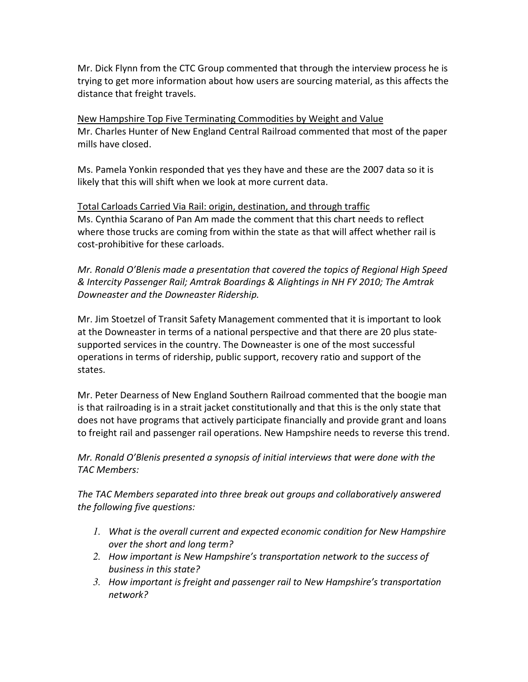Mr. Dick Flynn from the CTC Group commented that through the interview process he is trying to get more information about how users are sourcing material, as this affects the distance that freight travels.

New Hampshire Top Five Terminating Commodities by Weight and Value Mr. Charles Hunter of New England Central Railroad commented that most of the paper mills have closed.

Ms. Pamela Yonkin responded that yes they have and these are the 2007 data so it is likely that this will shift when we look at more current data.

Total Carloads Carried Via Rail: origin, destination, and through traffic Ms. Cynthia Scarano of Pan Am made the comment that this chart needs to reflect where those trucks are coming from within the state as that will affect whether rail is cost-prohibitive for these carloads.

Mr. Ronald O'Blenis made a presentation that covered the topics of Regional High Speed & Intercity Passenger Rail; Amtrak Boardings & Alightings in NH FY 2010; The Amtrak Downeaster and the Downeaster Ridership.

Mr. Jim Stoetzel of Transit Safety Management commented that it is important to look at the Downeaster in terms of a national perspective and that there are 20 plus statesupported services in the country. The Downeaster is one of the most successful operations in terms of ridership, public support, recovery ratio and support of the states.

Mr. Peter Dearness of New England Southern Railroad commented that the boogie man is that railroading is in a strait jacket constitutionally and that this is the only state that does not have programs that actively participate financially and provide grant and loans to freight rail and passenger rail operations. New Hampshire needs to reverse this trend.

Mr. Ronald O'Blenis presented a synopsis of initial interviews that were done with the TAC Members:

The TAC Members separated into three break out groups and collaboratively answered the following five questions:

- *1.* What is the overall current and expected economic condition for New Hampshire over the short and long term?
- *2.* How important is New Hampshire's transportation network to the success of business in this state?
- *3.* How important is freight and passenger rail to New Hampshire's transportation network?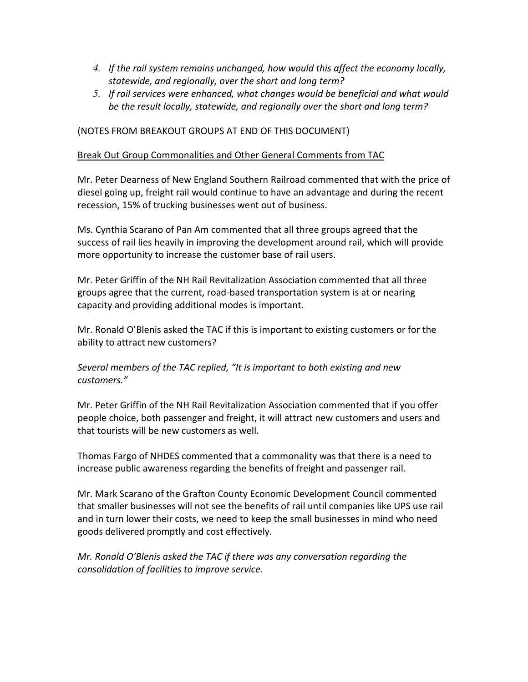- *4.* If the rail system remains unchanged, how would this affect the economy locally, statewide, and regionally, over the short and long term?
- *5.* If rail services were enhanced, what changes would be beneficial and what would be the result locally, statewide, and regionally over the short and long term?

### (NOTES FROM BREAKOUT GROUPS AT END OF THIS DOCUMENT)

#### Break Out Group Commonalities and Other General Comments from TAC

Mr. Peter Dearness of New England Southern Railroad commented that with the price of diesel going up, freight rail would continue to have an advantage and during the recent recession, 15% of trucking businesses went out of business.

Ms. Cynthia Scarano of Pan Am commented that all three groups agreed that the success of rail lies heavily in improving the development around rail, which will provide more opportunity to increase the customer base of rail users.

Mr. Peter Griffin of the NH Rail Revitalization Association commented that all three groups agree that the current, road-based transportation system is at or nearing capacity and providing additional modes is important.

Mr. Ronald O'Blenis asked the TAC if this is important to existing customers or for the ability to attract new customers?

### Several members of the TAC replied, "It is important to both existing and new customers."

Mr. Peter Griffin of the NH Rail Revitalization Association commented that if you offer people choice, both passenger and freight, it will attract new customers and users and that tourists will be new customers as well.

Thomas Fargo of NHDES commented that a commonality was that there is a need to increase public awareness regarding the benefits of freight and passenger rail.

Mr. Mark Scarano of the Grafton County Economic Development Council commented that smaller businesses will not see the benefits of rail until companies like UPS use rail and in turn lower their costs, we need to keep the small businesses in mind who need goods delivered promptly and cost effectively.

Mr. Ronald O'Blenis asked the TAC if there was any conversation regarding the consolidation of facilities to improve service.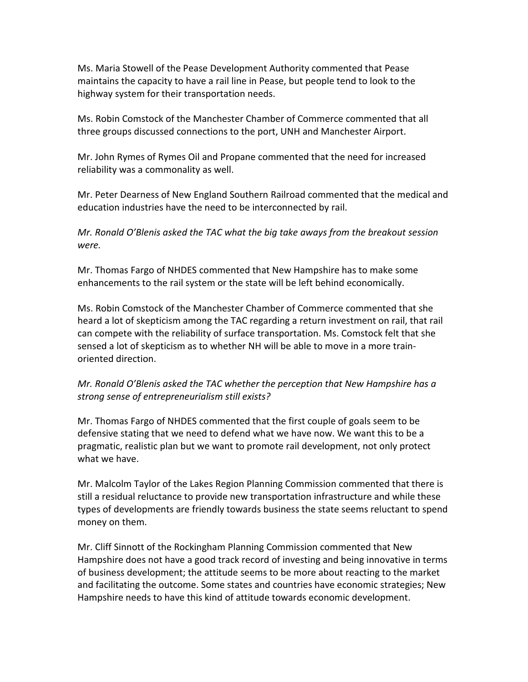Ms. Maria Stowell of the Pease Development Authority commented that Pease maintains the capacity to have a rail line in Pease, but people tend to look to the highway system for their transportation needs.

Ms. Robin Comstock of the Manchester Chamber of Commerce commented that all three groups discussed connections to the port, UNH and Manchester Airport.

Mr. John Rymes of Rymes Oil and Propane commented that the need for increased reliability was a commonality as well.

Mr. Peter Dearness of New England Southern Railroad commented that the medical and education industries have the need to be interconnected by rail.

Mr. Ronald O'Blenis asked the TAC what the big take aways from the breakout session were.

Mr. Thomas Fargo of NHDES commented that New Hampshire has to make some enhancements to the rail system or the state will be left behind economically.

Ms. Robin Comstock of the Manchester Chamber of Commerce commented that she heard a lot of skepticism among the TAC regarding a return investment on rail, that rail can compete with the reliability of surface transportation. Ms. Comstock felt that she sensed a lot of skepticism as to whether NH will be able to move in a more trainoriented direction.

### Mr. Ronald O'Blenis asked the TAC whether the perception that New Hampshire has a strong sense of entrepreneurialism still exists?

Mr. Thomas Fargo of NHDES commented that the first couple of goals seem to be defensive stating that we need to defend what we have now. We want this to be a pragmatic, realistic plan but we want to promote rail development, not only protect what we have.

Mr. Malcolm Taylor of the Lakes Region Planning Commission commented that there is still a residual reluctance to provide new transportation infrastructure and while these types of developments are friendly towards business the state seems reluctant to spend money on them.

Mr. Cliff Sinnott of the Rockingham Planning Commission commented that New Hampshire does not have a good track record of investing and being innovative in terms of business development; the attitude seems to be more about reacting to the market and facilitating the outcome. Some states and countries have economic strategies; New Hampshire needs to have this kind of attitude towards economic development.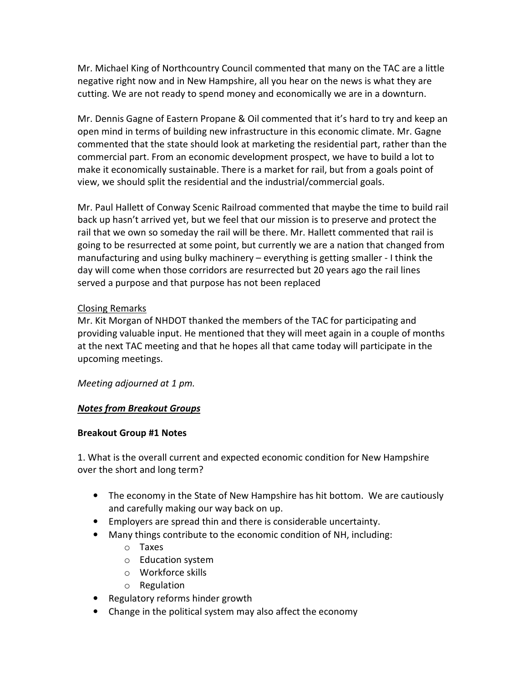Mr. Michael King of Northcountry Council commented that many on the TAC are a little negative right now and in New Hampshire, all you hear on the news is what they are cutting. We are not ready to spend money and economically we are in a downturn.

Mr. Dennis Gagne of Eastern Propane & Oil commented that it's hard to try and keep an open mind in terms of building new infrastructure in this economic climate. Mr. Gagne commented that the state should look at marketing the residential part, rather than the commercial part. From an economic development prospect, we have to build a lot to make it economically sustainable. There is a market for rail, but from a goals point of view, we should split the residential and the industrial/commercial goals.

Mr. Paul Hallett of Conway Scenic Railroad commented that maybe the time to build rail back up hasn't arrived yet, but we feel that our mission is to preserve and protect the rail that we own so someday the rail will be there. Mr. Hallett commented that rail is going to be resurrected at some point, but currently we are a nation that changed from manufacturing and using bulky machinery – everything is getting smaller - I think the day will come when those corridors are resurrected but 20 years ago the rail lines served a purpose and that purpose has not been replaced

### Closing Remarks

Mr. Kit Morgan of NHDOT thanked the members of the TAC for participating and providing valuable input. He mentioned that they will meet again in a couple of months at the next TAC meeting and that he hopes all that came today will participate in the upcoming meetings.

Meeting adjourned at 1 pm.

### Notes from Breakout Groups

### Breakout Group #1 Notes

1. What is the overall current and expected economic condition for New Hampshire over the short and long term?

- The economy in the State of New Hampshire has hit bottom. We are cautiously and carefully making our way back on up.
- Employers are spread thin and there is considerable uncertainty.
- Many things contribute to the economic condition of NH, including:
	- o Taxes
	- o Education system
	- o Workforce skills
	- o Regulation
- Regulatory reforms hinder growth
- Change in the political system may also affect the economy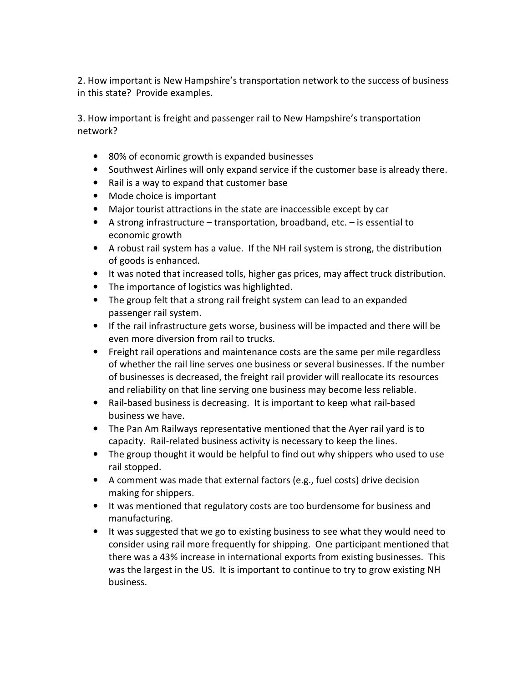2. How important is New Hampshire's transportation network to the success of business in this state? Provide examples.

3. How important is freight and passenger rail to New Hampshire's transportation network?

- 80% of economic growth is expanded businesses
- Southwest Airlines will only expand service if the customer base is already there.
- Rail is a way to expand that customer base
- Mode choice is important
- Major tourist attractions in the state are inaccessible except by car
- A strong infrastructure transportation, broadband, etc. is essential to economic growth
- A robust rail system has a value. If the NH rail system is strong, the distribution of goods is enhanced.
- It was noted that increased tolls, higher gas prices, may affect truck distribution.
- The importance of logistics was highlighted.
- The group felt that a strong rail freight system can lead to an expanded passenger rail system.
- If the rail infrastructure gets worse, business will be impacted and there will be even more diversion from rail to trucks.
- Freight rail operations and maintenance costs are the same per mile regardless of whether the rail line serves one business or several businesses. If the number of businesses is decreased, the freight rail provider will reallocate its resources and reliability on that line serving one business may become less reliable.
- Rail-based business is decreasing. It is important to keep what rail-based business we have.
- The Pan Am Railways representative mentioned that the Ayer rail yard is to capacity. Rail-related business activity is necessary to keep the lines.
- The group thought it would be helpful to find out why shippers who used to use rail stopped.
- A comment was made that external factors (e.g., fuel costs) drive decision making for shippers.
- It was mentioned that regulatory costs are too burdensome for business and manufacturing.
- It was suggested that we go to existing business to see what they would need to consider using rail more frequently for shipping. One participant mentioned that there was a 43% increase in international exports from existing businesses. This was the largest in the US. It is important to continue to try to grow existing NH business.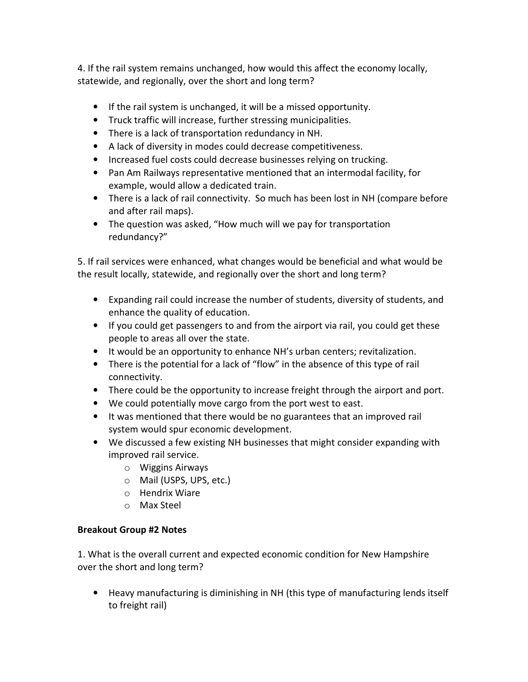4. If the rail system remains unchanged, how would this affect the economy locally, statewide, and regionally, over the short and long term?

- If the rail system is unchanged, it will be a missed opportunity.
- Truck traffic will increase, further stressing municipalities.
- There is a lack of transportation redundancy in NH.
- A lack of diversity in modes could decrease competitiveness.
- Increased fuel costs could decrease businesses relying on trucking.
- Pan Am Railways representative mentioned that an intermodal facility, for example, would allow a dedicated train.
- There is a lack of rail connectivity. So much has been lost in NH (compare before and after rail maps).
- The question was asked, "How much will we pay for transportation redundancy?"

5. If rail services were enhanced, what changes would be beneficial and what would be the result locally, statewide, and regionally over the short and long term?

- Expanding rail could increase the number of students, diversity of students, and enhance the quality of education.
- If you could get passengers to and from the airport via rail, you could get these people to areas all over the state.
- It would be an opportunity to enhance NH's urban centers; revitalization.
- There is the potential for a lack of "flow" in the absence of this type of rail connectivity.
- There could be the opportunity to increase freight through the airport and port.
- We could potentially move cargo from the port west to east.
- It was mentioned that there would be no guarantees that an improved rail system would spur economic development.
- We discussed a few existing NH businesses that might consider expanding with improved rail service.
	- o Wiggins Airways
	- o Mail (USPS, UPS, etc.)
	- o Hendrix Wiare
	- o Max Steel

# Breakout Group #2 Notes

1. What is the overall current and expected economic condition for New Hampshire over the short and long term?

• Heavy manufacturing is diminishing in NH (this type of manufacturing lends itself to freight rail)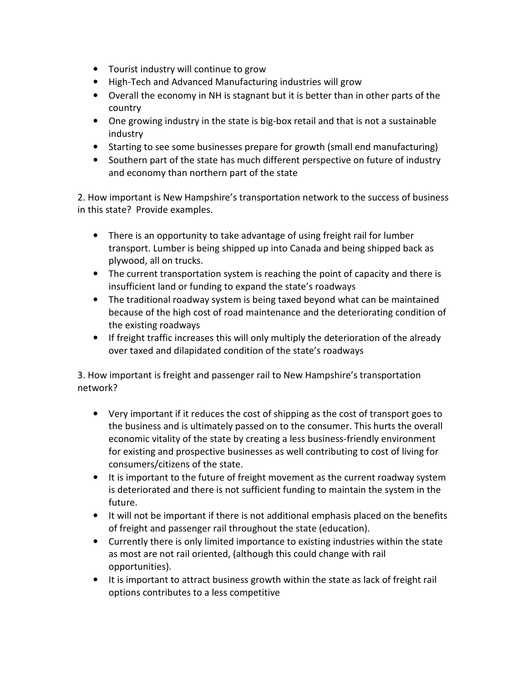- Tourist industry will continue to grow
- High-Tech and Advanced Manufacturing industries will grow
- Overall the economy in NH is stagnant but it is better than in other parts of the country
- One growing industry in the state is big-box retail and that is not a sustainable industry
- Starting to see some businesses prepare for growth (small end manufacturing)
- Southern part of the state has much different perspective on future of industry and economy than northern part of the state

2. How important is New Hampshire's transportation network to the success of business in this state? Provide examples.

- There is an opportunity to take advantage of using freight rail for lumber transport. Lumber is being shipped up into Canada and being shipped back as plywood, all on trucks.
- The current transportation system is reaching the point of capacity and there is insufficient land or funding to expand the state's roadways
- The traditional roadway system is being taxed beyond what can be maintained because of the high cost of road maintenance and the deteriorating condition of the existing roadways
- If freight traffic increases this will only multiply the deterioration of the already over taxed and dilapidated condition of the state's roadways

3. How important is freight and passenger rail to New Hampshire's transportation network?

- Very important if it reduces the cost of shipping as the cost of transport goes to the business and is ultimately passed on to the consumer. This hurts the overall economic vitality of the state by creating a less business-friendly environment for existing and prospective businesses as well contributing to cost of living for consumers/citizens of the state.
- It is important to the future of freight movement as the current roadway system is deteriorated and there is not sufficient funding to maintain the system in the future.
- It will not be important if there is not additional emphasis placed on the benefits of freight and passenger rail throughout the state (education).
- Currently there is only limited importance to existing industries within the state as most are not rail oriented, (although this could change with rail opportunities).
- It is important to attract business growth within the state as lack of freight rail options contributes to a less competitive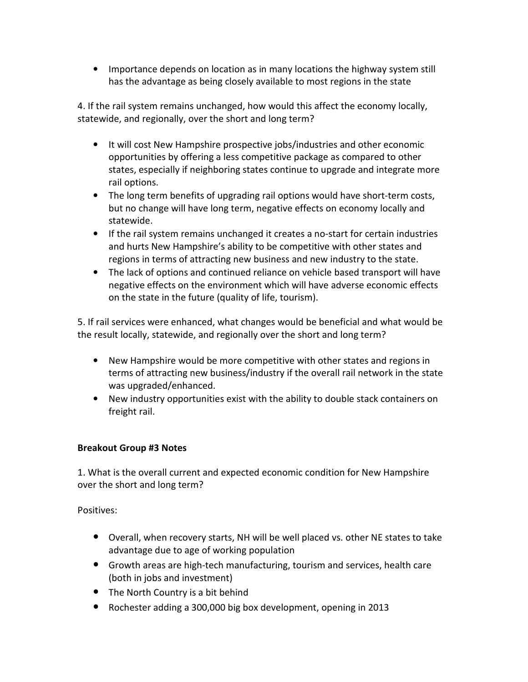• Importance depends on location as in many locations the highway system still has the advantage as being closely available to most regions in the state

4. If the rail system remains unchanged, how would this affect the economy locally, statewide, and regionally, over the short and long term?

- It will cost New Hampshire prospective jobs/industries and other economic opportunities by offering a less competitive package as compared to other states, especially if neighboring states continue to upgrade and integrate more rail options.
- The long term benefits of upgrading rail options would have short-term costs, but no change will have long term, negative effects on economy locally and statewide.
- If the rail system remains unchanged it creates a no-start for certain industries and hurts New Hampshire's ability to be competitive with other states and regions in terms of attracting new business and new industry to the state.
- The lack of options and continued reliance on vehicle based transport will have negative effects on the environment which will have adverse economic effects on the state in the future (quality of life, tourism).

5. If rail services were enhanced, what changes would be beneficial and what would be the result locally, statewide, and regionally over the short and long term?

- New Hampshire would be more competitive with other states and regions in terms of attracting new business/industry if the overall rail network in the state was upgraded/enhanced.
- New industry opportunities exist with the ability to double stack containers on freight rail.

### Breakout Group #3 Notes

1. What is the overall current and expected economic condition for New Hampshire over the short and long term?

Positives:

- Overall, when recovery starts, NH will be well placed vs. other NE states to take advantage due to age of working population
- Growth areas are high-tech manufacturing, tourism and services, health care (both in jobs and investment)
- The North Country is a bit behind
- Rochester adding a 300,000 big box development, opening in 2013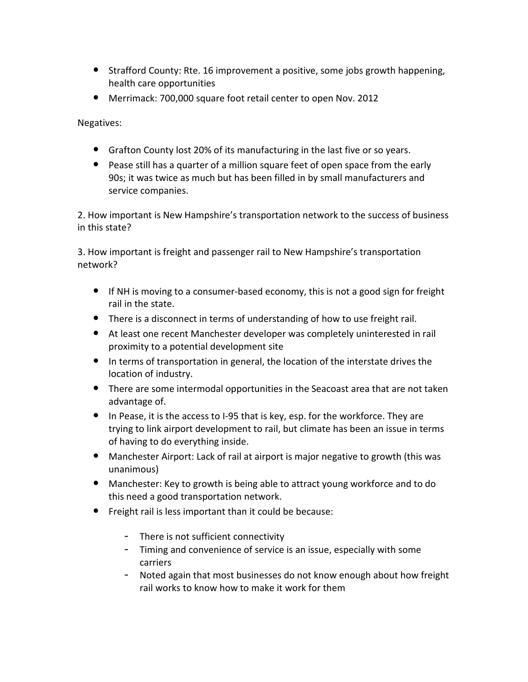- Strafford County: Rte. 16 improvement a positive, some jobs growth happening, health care opportunities
- Merrimack: 700,000 square foot retail center to open Nov. 2012

Negatives:

- Grafton County lost 20% of its manufacturing in the last five or so years.
- Pease still has a quarter of a million square feet of open space from the early 90s; it was twice as much but has been filled in by small manufacturers and service companies.

2. How important is New Hampshire's transportation network to the success of business in this state?

3. How important is freight and passenger rail to New Hampshire's transportation network?

- If NH is moving to a consumer-based economy, this is not a good sign for freight rail in the state.
- There is a disconnect in terms of understanding of how to use freight rail.
- At least one recent Manchester developer was completely uninterested in rail proximity to a potential development site
- In terms of transportation in general, the location of the interstate drives the location of industry.
- There are some intermodal opportunities in the Seacoast area that are not taken advantage of.
- In Pease, it is the access to I-95 that is key, esp. for the workforce. They are trying to link airport development to rail, but climate has been an issue in terms of having to do everything inside.
- Manchester Airport: Lack of rail at airport is major negative to growth (this was unanimous)
- Manchester: Key to growth is being able to attract young workforce and to do this need a good transportation network.
- Freight rail is less important than it could be because:
	- There is not sufficient connectivity
	- Timing and convenience of service is an issue, especially with some carriers
	- Noted again that most businesses do not know enough about how freight rail works to know how to make it work for them